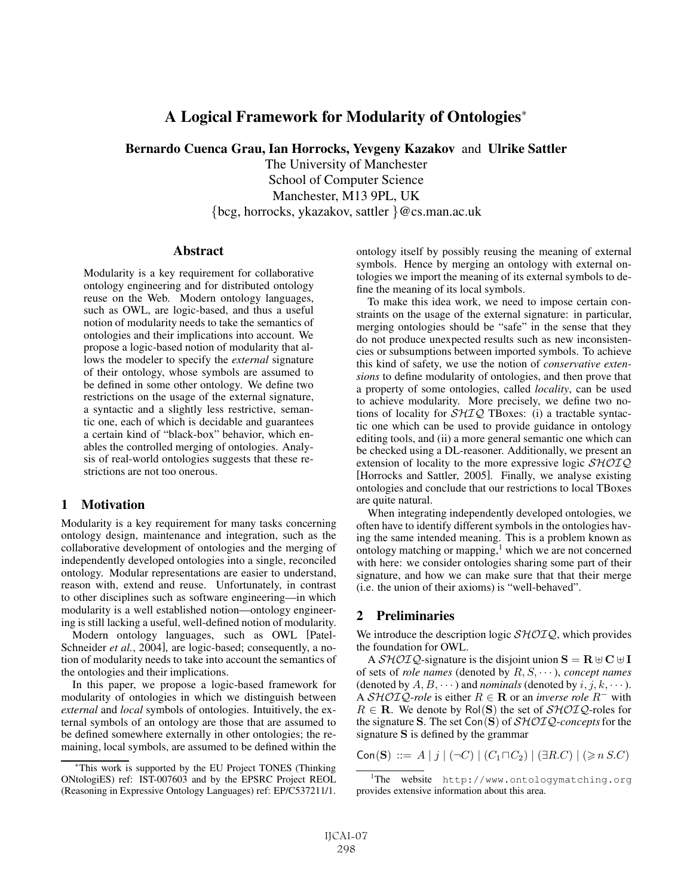# A Logical Framework for Modularity of Ontologies<sup>∗</sup>

Bernardo Cuenca Grau, Ian Horrocks, Yevgeny Kazakov and Ulrike Sattler

The University of Manchester School of Computer Science Manchester, M13 9PL, UK {bcg, horrocks, ykazakov, sattler }@cs.man.ac.uk

**Abstract** 

Modularity is a key requirement for collaborative ontology engineering and for distributed ontology reuse on the Web. Modern ontology languages, such as OWL, are logic-based, and thus a useful notion of modularity needs to take the semantics of ontologies and their implications into account. We propose a logic-based notion of modularity that allows the modeler to specify the *external* signature of their ontology, whose symbols are assumed to be defined in some other ontology. We define two restrictions on the usage of the external signature, a syntactic and a slightly less restrictive, semantic one, each of which is decidable and guarantees a certain kind of "black-box" behavior, which enables the controlled merging of ontologies. Analysis of real-world ontologies suggests that these restrictions are not too onerous.

### 1 Motivation

Modularity is a key requirement for many tasks concerning ontology design, maintenance and integration, such as the collaborative development of ontologies and the merging of independently developed ontologies into a single, reconciled ontology. Modular representations are easier to understand, reason with, extend and reuse. Unfortunately, in contrast to other disciplines such as software engineering—in which modularity is a well established notion—ontology engineering is still lacking a useful, well-defined notion of modularity.

Modern ontology languages, such as OWL [Patel-Schneider *et al.*, 2004], are logic-based; consequently, a notion of modularity needs to take into account the semantics of the ontologies and their implications.

In this paper, we propose a logic-based framework for modularity of ontologies in which we distinguish between *external* and *local* symbols of ontologies. Intuitively, the external symbols of an ontology are those that are assumed to be defined somewhere externally in other ontologies; the remaining, local symbols, are assumed to be defined within the ontology itself by possibly reusing the meaning of external symbols. Hence by merging an ontology with external ontologies we import the meaning of its external symbols to define the meaning of its local symbols.

To make this idea work, we need to impose certain constraints on the usage of the external signature: in particular, merging ontologies should be "safe" in the sense that they do not produce unexpected results such as new inconsistencies or subsumptions between imported symbols. To achieve this kind of safety, we use the notion of *conservative extensions* to define modularity of ontologies, and then prove that a property of some ontologies, called *locality*, can be used to achieve modularity. More precisely, we define two notions of locality for  $\mathcal{SHIQ}$  TBoxes: (i) a tractable syntactic one which can be used to provide guidance in ontology editing tools, and (ii) a more general semantic one which can be checked using a DL-reasoner. Additionally, we present an extension of locality to the more expressive logic  $\mathcal{SHOIQ}$ [Horrocks and Sattler, 2005]. Finally, we analyse existing ontologies and conclude that our restrictions to local TBoxes are quite natural.

When integrating independently developed ontologies, we often have to identify different symbols in the ontologies having the same intended meaning. This is a problem known as ontology matching or mapping,<sup>1</sup> which we are not concerned with here: we consider ontologies sharing some part of their signature, and how we can make sure that that their merge (i.e. the union of their axioms) is "well-behaved".

## 2 Preliminaries

We introduce the description logic  $\mathcal{SHOLQ}$ , which provides the foundation for OWL.

A  $\mathcal{SHOIQ}$ -signature is the disjoint union  $\mathbf{S} = \mathbf{R} \oplus \mathbf{C} \oplus \mathbf{I}$ of sets of *role names* (denoted by R, S, ··· ), *concept names* (denoted by  $A, B, \dots$ ) and *nominals* (denoted by  $i, j, k, \dots$ ). A  $\mathcal{SHOIQ}$ -role is either  $R \in \mathbf{R}$  or an *inverse role*  $R^-$  with  $R \in \mathbf{R}$ . We denote by  $\text{Pol}(\mathbf{S})$  the set of  $\mathcal{SHOLQ}$ -roles for the signature **S**. The set Con(**S**) of SHOIQ-*concepts*for the signature **S** is defined by the grammar

 $\mathsf{Con}(\mathbf{S}) ::= A | j | (\neg C) | (C_1 \sqcap C_2) | (\exists R.C) | (\geq n SC)$ 

<sup>∗</sup>This work is supported by the EU Project TONES (Thinking ONtologiES) ref: IST-007603 and by the EPSRC Project REOL (Reasoning in Expressive Ontology Languages) ref: EP/C537211/1.

<sup>1</sup> The website http://www.ontologymatching.org provides extensive information about this area.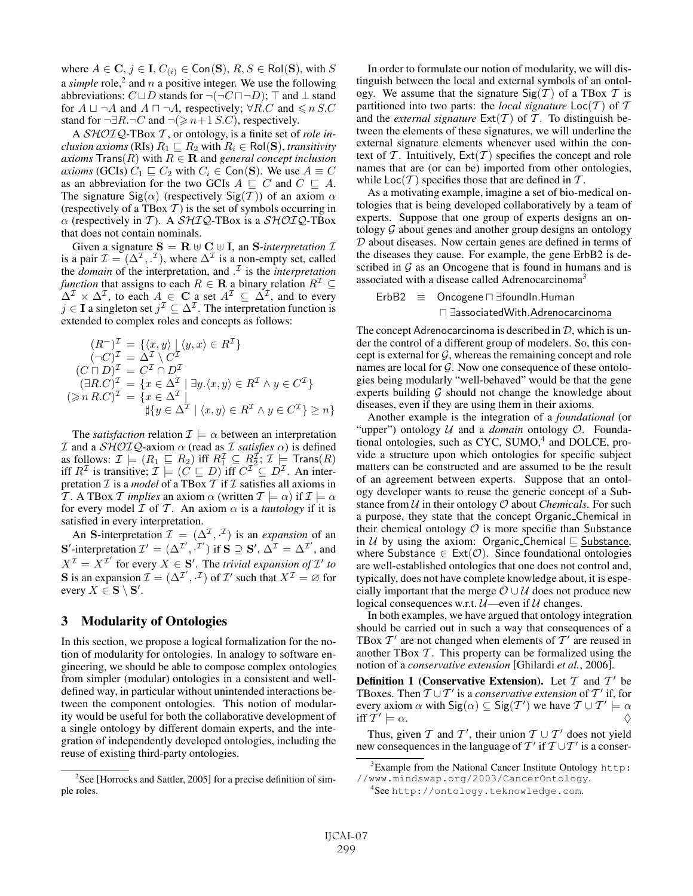where  $A \in \mathbf{C}$ ,  $j \in \mathbf{I}$ ,  $C_{(i)} \in \text{Con}(\mathbf{S})$ ,  $R, S \in \text{Pol}(\mathbf{S})$ , with S a *simple* role,<sup>2</sup> and n a positive integer. We use the following abbreviations:  $C \sqcup D$  stands for  $\neg(\neg C \sqcap \neg D)$ ;  $\top$  and  $\bot$  stand for  $A \sqcup \neg A$  and  $A \sqcap \neg A$ , respectively;  $\forall R.C$  and  $\leq n$  S.C stand for  $\neg \exists R.\neg C$  and  $\neg (\geq n+1)$  *S.C*), respectively.

A SHOIQ-TBox T , or ontology, is a finite set of *role inclusion axioms* (RIs)  $R_1 \subseteq R_2$  with  $R_i \in \text{Pol}(S)$ , *transitivity axioms*  $\text{Trans}(R)$  with  $R \in \mathbf{R}$  and *general concept inclusion axioms* (GCIs)  $C_1 \sqsubseteq C_2$  with  $C_i \in \text{Con}(S)$ . We use  $A \equiv C$ as an abbreviation for the two GCIs  $A \subseteq C$  and  $C \subseteq A$ . The signature Sig( $\alpha$ ) (respectively Sig(T)) of an axiom  $\alpha$ (respectively of a TBox  $T$ ) is the set of symbols occurring in  $\alpha$  (respectively in T). A SHIQ-TBox is a SHOIQ-TBox that does not contain nominals.

Given a signature  $S = \mathbf{R} \oplus \mathbf{C} \oplus \mathbf{I}$ , an *S-interpretation*  $\mathcal{I}$ is a pair  $\mathcal{I} = (\Delta^{\mathcal{I}}, \cdot^{\mathcal{I}})$ , where  $\Delta^{\mathcal{I}}$  is a non-empty set, called the *domain* of the interpretation, and . <sup>I</sup> is the *interpretation function* that assigns to each  $R \in \mathbf{R}$  a binary relation  $R^{\mathcal{I}} \subseteq$  $\Delta^{\mathcal{I}} \times \Delta^{\mathcal{I}}$ , to each  $A \in \mathbf{C}$  a set  $A^{\mathcal{I}} \subseteq \Delta^{\mathcal{I}}$ , and to every  $j \in I$  a singleton set  $j^{\mathcal{I}} \subseteq \Delta^{\mathcal{I}}$ . The interpretation function is extended to complex roles and concepts as follows:

$$
(R^{-})^{\mathcal{I}} = \{ \langle x, y \rangle \mid \langle y, x \rangle \in R^{\mathcal{I}} \}
$$
  
\n
$$
(\neg C)^{\mathcal{I}} = \Delta^{\mathcal{I}} \setminus C^{\mathcal{I}}
$$
  
\n
$$
(C \sqcap D)^{\mathcal{I}} = C^{\mathcal{I}} \cap D^{\mathcal{I}}
$$
  
\n
$$
(\exists R.C)^{\mathcal{I}} = \{ x \in \Delta^{\mathcal{I}} \mid \exists y. \langle x, y \rangle \in R^{\mathcal{I}} \land y \in C^{\mathcal{I}} \}
$$
  
\n
$$
(\geq n R.C)^{\mathcal{I}} = \{ x \in \Delta^{\mathcal{I}} \mid \exists y. \langle x, y \rangle \in R^{\mathcal{I}} \land y \in C^{\mathcal{I}} \} \geq n \}
$$

The *satisfaction* relation  $\mathcal{I} \models \alpha$  between an interpretation I and a SHOIQ-axiom α (read as I *satisfies* α) is defined as follows:  $\mathcal{I} \models (R_1 \sqsubseteq R_2)$  iff  $R_1^{\mathcal{I}} \subseteq R_2^{\mathcal{I}}$ ;  $\mathcal{I} \models$  Trans $(R)$  iff  $R^{\mathcal{I}}$  is transitive;  $\mathcal{I} \models (C \sqsubseteq D)$  iff  $C^{\mathcal{I}} \subseteq D^{\mathcal{I}}$ . An interpretation  $\mathcal I$  is a *model* of a TBox  $\mathcal T$  if  $\mathcal I$  satisfies all axioms in T. A TBox T *implies* an axiom  $\alpha$  (written  $T \models \alpha$ ) if  $\mathcal{I} \models \alpha$ for every model  $I$  of  $T$ . An axiom  $\alpha$  is a *tautology* if it is satisfied in every interpretation.

An **S**-interpretation  $\mathcal{I} = (\Delta^{\mathcal{I}}, \cdot^{\mathcal{I}})$  is an *expansion* of an **S**'-interpretation  $\mathcal{I}' = (\Delta^{\mathcal{I}'}, \mathcal{I}')$  if **S**  $\supseteq$  **S**',  $\Delta^{\mathcal{I}} = \Delta^{\mathcal{I}'}$ , and  $X^{\mathcal{I}} = X^{\mathcal{I}'}$  for every  $X \in \mathbf{S}'$ . The *trivial expansion of*  $\mathcal{I}'$  to **S** is an expansion  $\mathcal{I} = (\Delta^{\mathcal{I}'}, \cdot^{\mathcal{I}})$  of  $\mathcal{I}'$  such that  $X^{\mathcal{I}} = \emptyset$  for every  $X \in \mathbf{S} \setminus \mathbf{S}'$ .

## 3 Modularity of Ontologies

In this section, we propose a logical formalization for the notion of modularity for ontologies. In analogy to software engineering, we should be able to compose complex ontologies from simpler (modular) ontologies in a consistent and welldefined way, in particular without unintended interactions between the component ontologies. This notion of modularity would be useful for both the collaborative development of a single ontology by different domain experts, and the integration of independently developed ontologies, including the reuse of existing third-party ontologies.

In order to formulate our notion of modularity, we will distinguish between the local and external symbols of an ontology. We assume that the signature  $\text{Sig}(\mathcal{T})$  of a TBox  $\mathcal T$  is partitioned into two parts: the *local signature*  $\text{Loc}(T)$  of T and the *external signature*  $Ext(T)$  of T. To distinguish between the elements of these signatures, we will underline the external signature elements whenever used within the context of T. Intuitively,  $Ext(T)$  specifies the concept and role names that are (or can be) imported from other ontologies, while  $Loc(\mathcal{T})$  specifies those that are defined in  $\mathcal{T}$ .

As a motivating example, imagine a set of bio-medical ontologies that is being developed collaboratively by a team of experts. Suppose that one group of experts designs an ontology  $G$  about genes and another group designs an ontology  $D$  about diseases. Now certain genes are defined in terms of the diseases they cause. For example, the gene ErbB2 is described in  $G$  as an Oncogene that is found in humans and is associated with a disease called Adrenocarcinoma<sup>3</sup>

$$
\begin{array}{lcl} \text{ErbB2} & \equiv & \text{Oncogene} \sqcap \exists \text{foundIn.Human} \\ & \sqcap \exists \text{associatedWith}.\underline{Adrenocarcinoma} \end{array}
$$

The concept Adrenocarcinoma is described in  $D$ , which is under the control of a different group of modelers. So, this concept is external for  $G$ , whereas the remaining concept and role names are local for  $G$ . Now one consequence of these ontologies being modularly "well-behaved" would be that the gene experts building  $G$  should not change the knowledge about diseases, even if they are using them in their axioms.

Another example is the integration of a *foundational* (or "upper") ontology U and a *domain* ontology O. Foundational ontologies, such as CYC,  $SUMO<sub>+</sub><sup>4</sup>$  and DOLCE, provide a structure upon which ontologies for specific subject matters can be constructed and are assumed to be the result of an agreement between experts. Suppose that an ontology developer wants to reuse the generic concept of a Substance from  $U$  in their ontology  $O$  about *Chemicals*. For such a purpose, they state that the concept Organic Chemical in their chemical ontology  $\mathcal O$  is more specific than Substance in  $U$  by using the axiom: Organic Chemical  $\sqsubseteq$  Substance, where Substance  $\in \text{Ext}(\mathcal{O})$ . Since foundational ontologies are well-established ontologies that one does not control and, typically, does not have complete knowledge about, it is especially important that the merge  $\mathcal{O} \cup \mathcal{U}$  does not produce new logical consequences w.r.t.  $U$ —even if  $U$  changes.

In both examples, we have argued that ontology integration should be carried out in such a way that consequences of a TBox  $T'$  are not changed when elements of  $T'$  are reused in another TBox  $T$ . This property can be formalized using the notion of a *conservative extension* [Ghilardi *et al.*, 2006].

**Definition 1 (Conservative Extension).** Let  $T$  and  $T'$  be TBoxes. Then  $T \cup T'$  is a *conservative extension* of  $T'$  if, for every axiom  $\alpha$  with  $\mathsf{Sig}(\alpha) \subseteq \mathsf{Sig}(\mathcal{T}')$  we have  $\mathcal{T} \cup \mathcal{T}' \models \alpha$ iff  $\mathcal{T}' \models \alpha$ .

Thus, given  $T$  and  $T'$ , their union  $T \cup T'$  does not yield new consequences in the language of  $T'$  if  $T \cup T'$  is a conser-

<sup>&</sup>lt;sup>2</sup>See [Horrocks and Sattler, 2005] for a precise definition of simple roles.

<sup>&</sup>lt;sup>3</sup> Example from the National Cancer Institute Ontology http: //www.mindswap.org/2003/CancerOntology.

<sup>4</sup> See http://ontology.teknowledge.com.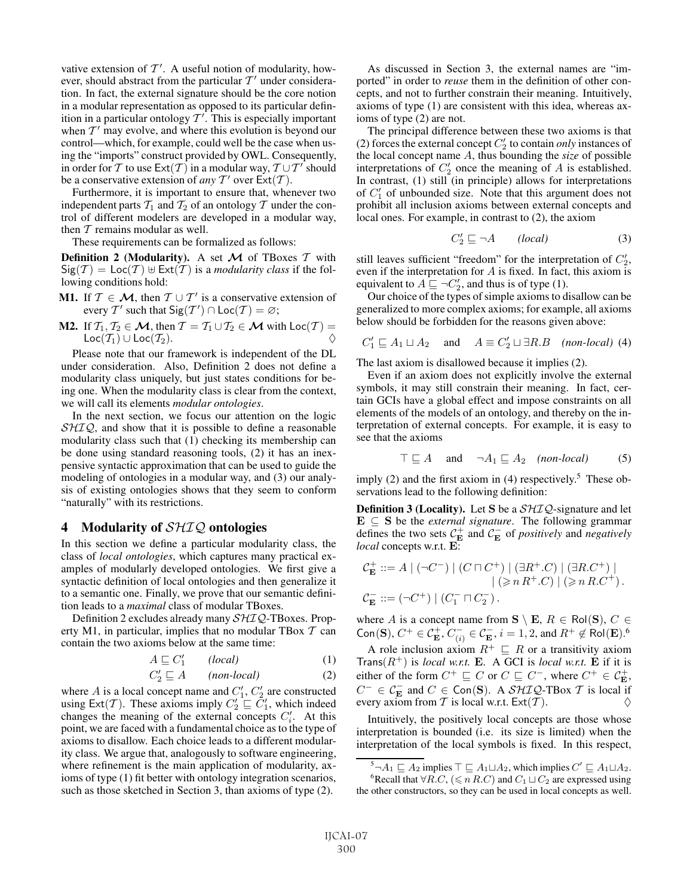vative extension of  $T'$ . A useful notion of modularity, however, should abstract from the particular  $T'$  under consideration. In fact, the external signature should be the core notion in a modular representation as opposed to its particular definition in a particular ontology  $T'$ . This is especially important when  $T'$  may evolve, and where this evolution is beyond our control—which, for example, could well be the case when using the "imports" construct provided by OWL. Consequently, in order for T to use  $\text{Ext}(T)$  in a modular way,  $T \cup T'$  should be a conservative extension of *any*  $T'$  over  $\text{Ext}(T)$ .

Furthermore, it is important to ensure that, whenever two independent parts  $T_1$  and  $T_2$  of an ontology T under the control of different modelers are developed in a modular way, then  $T$  remains modular as well.

These requirements can be formalized as follows:

**Definition 2 (Modularity).** A set  $M$  of TBoxes  $T$  with  $Sig(\mathcal{T}) = Loc(\mathcal{T}) \oplus Ext(\mathcal{T})$  is a *modularity class* if the following conditions hold:

- **M1.** If  $T \in \mathcal{M}$ , then  $T \cup T'$  is a conservative extension of every T' such that  $\text{Sig}(T') \cap \text{Loc}(T) = \varnothing;$
- M2. If  $\mathcal{T}_1, \mathcal{T}_2 \in \mathcal{M}$ , then  $\mathcal{T} = \mathcal{T}_1 \cup \mathcal{T}_2 \in \mathcal{M}$  with  $\text{Loc}(\mathcal{T}) =$ Loc( $\mathcal{T}_1$ ) ∪ Loc( $\mathcal{T}_2$ ).

Please note that our framework is independent of the DL under consideration. Also, Definition 2 does not define a modularity class uniquely, but just states conditions for being one. When the modularity class is clear from the context, we will call its elements *modular ontologies*.

In the next section, we focus our attention on the logic  $SHIQ$ , and show that it is possible to define a reasonable modularity class such that (1) checking its membership can be done using standard reasoning tools, (2) it has an inexpensive syntactic approximation that can be used to guide the modeling of ontologies in a modular way, and (3) our analysis of existing ontologies shows that they seem to conform "naturally" with its restrictions.

### 4 Modularity of  $\mathcal{SHIQ}$  ontologies

In this section we define a particular modularity class, the class of *local ontologies*, which captures many practical examples of modularly developed ontologies. We first give a syntactic definition of local ontologies and then generalize it to a semantic one. Finally, we prove that our semantic definition leads to a *maximal* class of modular TBoxes.

Definition 2 excludes already many  $\mathcal{SHIQ}$ -TBoxes. Property M1, in particular, implies that no modular TBox  $T$  can contain the two axioms below at the same time:

$$
A \sqsubseteq C_1' \qquad (local) \tag{1}
$$

$$
C_2' \sqsubseteq A \qquad (non-local) \tag{2}
$$

where A is a local concept name and  $C'_1$ ,  $C'_2$  are constructed using  $\text{Ext}(\mathcal{T})$ . These axioms imply  $C_2' \subseteq C_1'$ , which indeed changes the meaning of the external concepts  $C_i'$ . At this point, we are faced with a fundamental choice as to the type of axioms to disallow. Each choice leads to a different modularity class. We argue that, analogously to software engineering, where refinement is the main application of modularity, axioms of type (1) fit better with ontology integration scenarios, such as those sketched in Section 3, than axioms of type (2).

As discussed in Section 3, the external names are "imported" in order to *reuse* them in the definition of other concepts, and not to further constrain their meaning. Intuitively, axioms of type (1) are consistent with this idea, whereas axioms of type (2) are not.

The principal difference between these two axioms is that (2) forces the external concept  $C_2'$  to contain *only* instances of the local concept name A, thus bounding the *size* of possible interpretations of  $C_2'$  once the meaning of A is established. In contrast, (1) still (in principle) allows for interpretations of  $C_1'$  of unbounded size. Note that this argument does not prohibit all inclusion axioms between external concepts and local ones. For example, in contrast to (2), the axiom

$$
C_2' \sqsubseteq \neg A \qquad (local) \tag{3}
$$

still leaves sufficient "freedom" for the interpretation of  $C_2'$ , even if the interpretation for  $A$  is fixed. In fact, this axiom is equivalent to  $A \sqsubseteq \neg C_2'$ , and thus is of type (1).

Our choice of the types of simple axioms to disallow can be generalized to more complex axioms; for example, all axioms below should be forbidden for the reasons given above:

$$
C'_1 \sqsubseteq A_1 \sqcup A_2 \quad \text{and} \quad A \equiv C'_2 \sqcup \exists R.B \quad (non-local) \tag{4}
$$

The last axiom is disallowed because it implies (2).

Even if an axiom does not explicitly involve the external symbols, it may still constrain their meaning. In fact, certain GCIs have a global effect and impose constraints on all elements of the models of an ontology, and thereby on the interpretation of external concepts. For example, it is easy to see that the axioms

$$
\top \sqsubseteq A \quad \text{and} \quad \neg A_1 \sqsubseteq A_2 \quad (non-local) \tag{5}
$$

imply (2) and the first axiom in (4) respectively.<sup>5</sup> These observations lead to the following definition:

**Definition 3 (Locality).** Let **S** be a  $\mathcal{SHIQ}$ -signature and let  $\mathbf{E} \subseteq \mathbf{S}$  be the *external signature*. The following grammar defines the two sets  $C_{\mathbf{E}}^+$  and  $C_{\mathbf{E}}^-$  of *positively* and *negatively local* concepts w.r.t. **E**:

$$
\begin{aligned} \mathcal{C}_{\mathbf{E}}^+ &::= A \mid (\neg C^-) \mid (C \sqcap C^+) \mid (\exists R^+.C) \mid (\exists R.C^+) \mid \\ & \mid (\geqslant n\,R^+.C) \mid (\geqslant n\,R.C^+) \, . \\ \mathcal{C}_{\mathbf{E}}^- &::= (\neg C^+) \mid (C^-_1 \sqcap C^-_2) \, . \end{aligned}
$$

where A is a concept name from  $\mathbf{S} \setminus \mathbf{E}$ ,  $R \in \text{Pol}(\mathbf{S})$ ,  $C \in$ Con(S),  $C^+ \in C_{\mathbf{E}}^+$ ,  $C_{(i)}^- \in C_{\mathbf{E}}^-$ ,  $i = 1, 2$ , and  $R^+ \notin \text{Ro}(\mathbf{E})$ .<sup>6</sup>

A role inclusion axiom  $R^+ \sqsubseteq R$  or a transitivity axiom Trans $(R^+)$  is *local w.r.t.* **E**. A GCI is *local w.r.t.* **E** if it is either of the form  $C^+ \sqsubseteq C$  or  $C \sqsubseteq C^-$ , where  $C^+ \in \mathcal{C}_{\mathbf{E}}^+$ ,  $C^{-} \in \mathcal{C}_{\mathbf{E}}^{-}$  and  $C \in \overline{\text{Con}}(\mathbf{S})$ . A  $\overline{\mathcal{SHIQ}}$ -TBox T is local if every axiom from T is local w.r.t.  $\text{Ext}(\mathcal{T})$ .

Intuitively, the positively local concepts are those whose interpretation is bounded (i.e. its size is limited) when the interpretation of the local symbols is fixed. In this respect,

 $^{5} \neg A_1 \sqsubseteq A_2$  implies  $\top \sqsubseteq A_1 \sqcup A_2$ , which implies  $C' \sqsubseteq A_1 \sqcup A_2$ . <sup>6</sup>Recall that  $\forall R.C, (\leq n R.C)$  and  $C_1 \sqcup C_2$  are expressed using the other constructors, so they can be used in local concepts as well.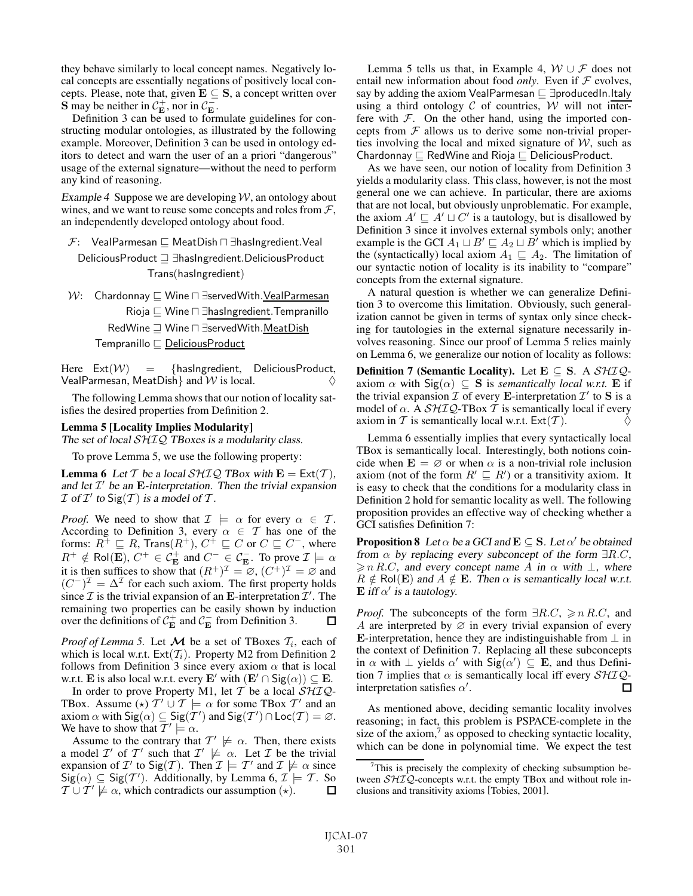they behave similarly to local concept names. Negatively local concepts are essentially negations of positively local concepts. Please, note that, given  $\mathbf{E} \subseteq \mathbf{S}$ , a concept written over **S** may be neither in  $C_{\mathbf{E}}^{+}$ , nor in  $C_{\mathbf{E}}^{-}$ .

Definition 3 can be used to formulate guidelines for constructing modular ontologies, as illustrated by the following example. Moreover, Definition 3 can be used in ontology editors to detect and warn the user of an a priori "dangerous" usage of the external signature—without the need to perform any kind of reasoning.

Example 4 Suppose we are developing  $W$ , an ontology about wines, and we want to reuse some concepts and roles from  $\mathcal{F}$ , an independently developed ontology about food.

 $\mathcal{F}$ : VealParmesan  $\sqsubseteq$  MeatDish  $\sqcap$  ∃hasIngredient. Veal DeliciousProduct ∃hasIngredient.DeliciousProduct Trans(hasIngredient)

 $W:$  Chardonnay  $□$  Wine  $□$  ∃servedWith. VealParmesan Rioja  $\sqsubseteq$  Wine  $\sqcap \exists$ hasIngredient. Tempranillo RedWine  $\Box$  Wine  $\Box$  ∃servedWith.MeatDish Tempranillo  $\sqsubseteq$  DeliciousProduct

Here  $Ext(W) = \{hashgredient, DeliciousProduct,$ VealParmesan, MeatDish and  $W$  is local.

The following Lemma shows that our notion of locality satisfies the desired properties from Definition 2.

#### Lemma 5 [Locality Implies Modularity]

The set of local SHIQ TBoxes is a modularity class.

To prove Lemma 5, we use the following property:

**Lemma 6** Let T be a local  $\mathcal{SHTQ}$  TBox with  $E = \text{Ext}(T)$ , and let  $\mathcal{I}'$  be an **E**-interpretation. Then the trivial expansion  $\mathcal I$  of  $\mathcal I'$  to  $\text{Sig}(\mathcal T)$  is a model of  $\mathcal T$ .

*Proof.* We need to show that  $\mathcal{I} \models \alpha$  for every  $\alpha \in \mathcal{T}$ . According to Definition 3, every  $\alpha \in \mathcal{T}$  has one of the forms:  $R^+ \sqsubseteq R$ , Trans $(R^+)$ ,  $C^+ \sqsubseteq C$  or  $C \sqsubseteq C^-$ , where  $R^+ \notin \text{Pol}(\overline{\mathbf{E}}), C^+ \in \mathcal{C}_{\mathbf{E}}^+$  and  $C^- \in \mathcal{C}_{\mathbf{E}}^-$ . To prove  $\mathcal{I} \models \alpha$ it is then suffices to show that  $(R^+)^{\mathcal{I}} = \emptyset$ ,  $(C^+)^{\mathcal{I}} = \emptyset$  and  $(C^{-})^{\mathcal{I}} = \Delta^{\mathcal{I}}$  for each such axiom. The first property holds since  $\mathcal I$  is the trivial expansion of an **E**-interpretation  $\mathcal I'$ . The remaining two properties can be easily shown by induction over the definitions of  $C_{\mathbf{E}}^+$  and  $C_{\mathbf{E}}^-$  from Definition 3.

*Proof of Lemma 5.* Let  $M$  be a set of TBoxes  $T_i$ , each of which is local w.r.t.  $Ext(\mathcal{T}_i)$ . Property M2 from Definition 2 follows from Definition 3 since every axiom  $\alpha$  that is local w.r.t. **E** is also local w.r.t. every **E**' with  $(\mathbf{E}' \cap \text{Sig}(\alpha)) \subseteq \mathbf{E}$ .

In order to prove Property M1, let  $T$  be a local  $\mathcal{SHIQ}$ -TBox. Assume ( $\star$ )  $T' \cup T \models \alpha$  for some TBox  $T'$  and an axiom  $\alpha$  with  $\text{Sig}(\alpha) \subseteq \text{Sig}(T')$  and  $\text{Sig}(T') \cap \text{Loc}(T) = \emptyset$ . We have to show that  $\overline{T'} \models \alpha$ .

Assume to the contrary that  $T' \not\models \alpha$ . Then, there exists a model  $\mathcal{I}'$  of  $\mathcal{T}'$  such that  $\mathcal{I}' \not\models \alpha$ . Let  $\mathcal{I}$  be the trivial expansion of  $\mathcal{I}'$  to  $\text{Sig}(\mathcal{T})$ . Then  $\mathcal{I} \models \mathcal{T}'$  and  $\mathcal{I} \not\models \alpha$  since  $\text{Sig}(\alpha) \subseteq \text{Sig}(\mathcal{T}')$ . Additionally, by Lemma 6,  $\mathcal{I}' \models \mathcal{T}$ . So  $\mathcal{T} \cup \mathcal{T}' \not\models \alpha$ , which contradicts our assumption  $(\star)$ .  $\Box$ 

Lemma 5 tells us that, in Example 4,  $W \cup F$  does not entail new information about food *only*. Even if  $F$  evolves, say by adding the axiom VealParmesan  $\sqsubseteq \exists$ producedIn.Italy using a third ontology  $C$  of countries,  $W$  will not interfere with  $F$ . On the other hand, using the imported concepts from  $F$  allows us to derive some non-trivial properties involving the local and mixed signature of  $W$ , such as Chardonnay  $\sqsubseteq$  RedWine and Rioja  $\sqsubseteq$  DeliciousProduct.

As we have seen, our notion of locality from Definition 3 yields a modularity class. This class, however, is not the most general one we can achieve. In particular, there are axioms that are not local, but obviously unproblematic. For example, the axiom  $A' \sqsubseteq A' \sqcup C'$  is a tautology, but is disallowed by Definition 3 since it involves external symbols only; another example is the GCI  $A_1 \sqcup B' \sqsubseteq A_2 \sqcup B'$  which is implied by the (syntactically) local axiom  $A_1 \subseteq A_2$ . The limitation of our syntactic notion of locality is its inability to "compare" concepts from the external signature.

A natural question is whether we can generalize Definition 3 to overcome this limitation. Obviously, such generalization cannot be given in terms of syntax only since checking for tautologies in the external signature necessarily involves reasoning. Since our proof of Lemma 5 relies mainly on Lemma 6, we generalize our notion of locality as follows:

**Definition 7 (Semantic Locality).** Let  $E \subseteq S$ . A  $\mathcal{SHIQ}$ axiom  $\alpha$  with  $\text{Sig}(\alpha) \subseteq \mathbf{S}$  is *semantically local w.r.t.* **E** if the trivial expansion  $\overline{\mathcal{I}}$  of every **E**-interpretation  $\mathcal{I}'$  to **S** is a model of  $\alpha$ . A  $\mathcal{SHIQ}$ -TBox T is semantically local if every axiom in T is semantically local w.r.t.  $Ext(\mathcal{T})$ .

Lemma 6 essentially implies that every syntactically local TBox is semantically local. Interestingly, both notions coincide when  $\mathbf{E} = \emptyset$  or when  $\alpha$  is a non-trivial role inclusion axiom (not of the form  $R' \sqsubseteq R'$ ) or a transitivity axiom. It is easy to check that the conditions for a modularity class in Definition 2 hold for semantic locality as well. The following proposition provides an effective way of checking whether a GCI satisfies Definition 7:

**Proposition 8** Let  $\alpha$  be a GCI and  $\mathbf{E} \subseteq \mathbf{S}$ . Let  $\alpha'$  be obtained from  $\alpha$  by replacing every subconcept of the form  $\exists R.C$ ,  $\geq n R.C$ , and every concept name A in  $\alpha$  with  $\perp$ , where  $R \notin \text{Pol}(E)$  and  $A \notin E$ . Then  $\alpha$  is semantically local w.r.t.  $\mathbf{E}$  iff  $\alpha'$  is a tautology.

*Proof.* The subconcepts of the form  $\exists R.C. \geq n \, R.C.$  and A are interpreted by  $\varnothing$  in every trivial expansion of every **E**-interpretation, hence they are indistinguishable from  $\perp$  in the context of Definition 7. Replacing all these subconcepts in  $\alpha$  with  $\perp$  yields  $\alpha'$  with  $\text{Sig}(\alpha') \subseteq E$ , and thus Definition 7 implies that  $\alpha$  is semantically local iff every  $\mathcal{SHIQ}$ interpretation satisfies  $\alpha'$ . Π

As mentioned above, deciding semantic locality involves reasoning; in fact, this problem is PSPACE-complete in the size of the axiom, $7$  as opposed to checking syntactic locality, which can be done in polynomial time. We expect the test

 $7$ This is precisely the complexity of checking subsumption between  $\mathcal{SHIQ}$ -concepts w.r.t. the empty TBox and without role inclusions and transitivity axioms [Tobies, 2001].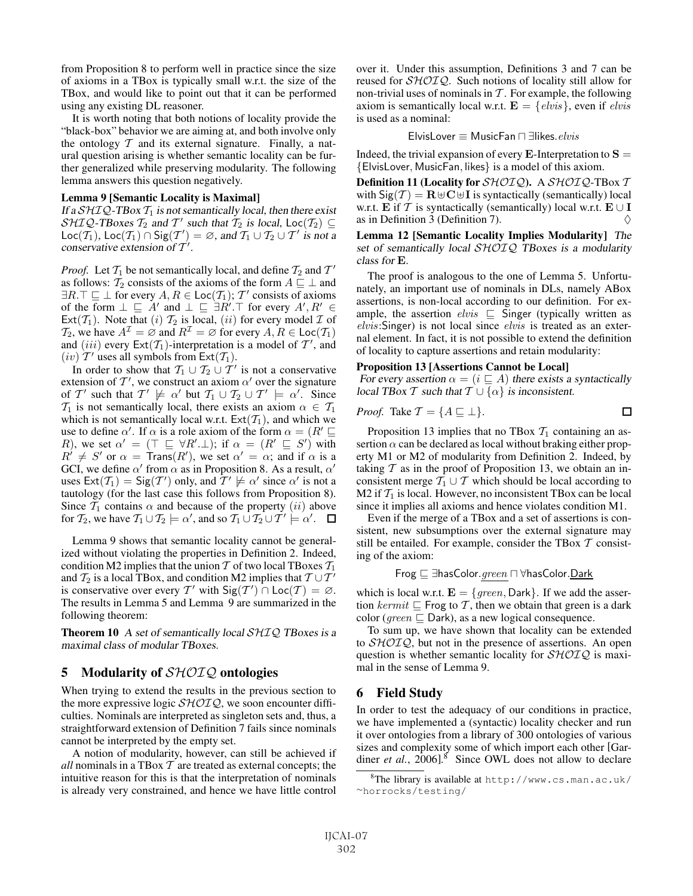from Proposition 8 to perform well in practice since the size of axioms in a TBox is typically small w.r.t. the size of the TBox, and would like to point out that it can be performed using any existing DL reasoner.

It is worth noting that both notions of locality provide the "black-box" behavior we are aiming at, and both involve only the ontology  $T$  and its external signature. Finally, a natural question arising is whether semantic locality can be further generalized while preserving modularity. The following lemma answers this question negatively.

#### Lemma 9 [Semantic Locality is Maximal]

If a  $\mathcal{SHIQ}$ -TBox  $\mathcal{T}_1$  is not semantically local, then there exist  $\mathcal{SHIQ}\text{-}\mathbf{T}$ Boxes  $\mathcal{T}_2$  and  $\mathcal{T}'$  such that  $\mathcal{T}_2$  is local, Loc( $\mathcal{T}_2$ )  $\subseteq$ Loc( $\overline{T_1}$ ), Loc( $\overline{T_1}$ )  $\cap$  Sig( $T'$ ) =  $\emptyset$ , and  $\overline{T_1} \cup \overline{T_2} \cup T'$  is not a conservative extension of  $T'$ .

*Proof.* Let  $\mathcal{T}_1$  be not semantically local, and define  $\mathcal{T}_2$  and  $\mathcal{T}'$ as follows:  $\mathcal{T}_2$  consists of the axioms of the form  $A \sqsubseteq \perp$  and  $\exists R.\top \sqsubseteq \bot$  for every  $A, R \in \text{Loc}(\mathcal{T}_1)$ ;  $\mathcal{T}'$  consists of axioms of the form  $\bot \sqsubseteq A'$  and  $\bot \sqsubseteq \exists R'.\top$  for every  $A', R' \in$ Ext( $\mathcal{T}_1$ ). Note that (i)  $\mathcal{T}_2$  is local, (ii) for every model  $\mathcal I$  of  $\mathcal{T}_2$ , we have  $A^{\mathcal{I}} = \emptyset$  and  $R^{\mathcal{I}} = \emptyset$  for every  $A, R \in \text{Loc}(\mathcal{T}_1)$ and (iii) every  $Ext(T_1)$ -interpretation is a model of T', and  $(iv)$  T' uses all symbols from Ext $(T_1)$ .

In order to show that  $T_1 \cup T_2 \cup T'$  is not a conservative extension of  $T'$ , we construct an axiom  $\alpha'$  over the signature of T' such that  $T' \not\models \alpha'$  but  $T_1 \cup T_2 \cup T' \not\models \alpha'$ . Since  $\mathcal{T}_1$  is not semantically local, there exists an axiom  $\alpha \in \mathcal{T}_1$ which is not semantically local w.r.t.  $Ext(\mathcal{T}_1)$ , and which we use to define  $\alpha'$ . If  $\alpha$  is a role axiom of the form  $\alpha = (R' \sqsubseteq$ R), we set  $\alpha' = (\top \sqsubseteq \forall R' \bot)$ ; if  $\alpha = (R' \sqsubseteq S')$  with  $R^{1} \neq S'$  or  $\alpha = \text{Trans}(R')$ , we set  $\alpha' = \alpha$ ; and if  $\alpha$  is a GCI, we define  $\alpha'$  from  $\alpha$  as in Proposition 8. As a result,  $\alpha'$ uses  $\text{Ext}(\mathcal{T}_1) = \text{Sig}(\mathcal{T}')$  only, and  $\mathcal{T}' \not\models \alpha'$  since  $\alpha'$  is not a tautology (for the last case this follows from Proposition 8). Since  $\mathcal{T}_1$  contains  $\alpha$  and because of the property  $(ii)$  above for  $\mathcal{T}_2$ , we have  $\mathcal{T}_1 \cup \mathcal{T}_2 \models \alpha'$ , and so  $\mathcal{T}_1 \cup \mathcal{T}_2 \cup \mathcal{T}' \models \alpha'$ .

Lemma 9 shows that semantic locality cannot be generalized without violating the properties in Definition 2. Indeed, condition M2 implies that the union  $T$  of two local TBoxes  $T_1$ and  $\mathcal{T}_2$  is a local TBox, and condition M2 implies that  $\mathcal{T} \cup \mathcal{T}^{\mathcal{T}}$ is conservative over every T' with  $\text{Sig}(T') \cap \text{Loc}(T) = \emptyset$ . The results in Lemma 5 and Lemma 9 are summarized in the following theorem:

**Theorem 10** A set of semantically local  $\mathcal{SHIQ}$  TBoxes is a maximal class of modular TBoxes.

### 5 Modularity of  $\mathcal{SHOIQ}$  ontologies

When trying to extend the results in the previous section to the more expressive logic  $\mathcal{SHOLQ}$ , we soon encounter difficulties. Nominals are interpreted as singleton sets and, thus, a straightforward extension of Definition 7 fails since nominals cannot be interpreted by the empty set.

A notion of modularity, however, can still be achieved if *all* nominals in a TBox  $T$  are treated as external concepts; the intuitive reason for this is that the interpretation of nominals is already very constrained, and hence we have little control over it. Under this assumption, Definitions 3 and 7 can be reused for SHOIQ. Such notions of locality still allow for non-trivial uses of nominals in  $T$ . For example, the following axiom is semantically local w.r.t.  $\mathbf{E} = \{elvis\}$ , even if *elvis* is used as a nominal:

$$
\textsf{ElvisLover} \equiv \textsf{MusicFan} \sqcap \exists \textsf{likes}. \textit{elvis}
$$

Indeed, the trivial expansion of every  $\bf{E}$ -Interpretation to  $\bf{S}$  = {ElvisLover, MusicFan, likes} is a model of this axiom.

Definition 11 (Locality for  $\mathcal{SHOIO}$ ). A  $\mathcal{SHOIO}$ -TBox T with  $\text{Sig}(\mathcal{T}) = \mathbf{R} \oplus \mathbf{C} \oplus \mathbf{I}$  is syntactically (semantically) local w.r.t. **E** if T is syntactically (semantically) local w.r.t.  $\mathbf{E} \cup \mathbf{I}$ as in Definition 3 (Definition 7).  $\Diamond$ 

Lemma 12 [Semantic Locality Implies Modularity] The set of semantically local SHOIQ TBoxes is a modularity class for **E**.

The proof is analogous to the one of Lemma 5. Unfortunately, an important use of nominals in DLs, namely ABox assertions, is non-local according to our definition. For example, the assertion  $elvis \subseteq$  Singer (typically written as elvis: Singer) is not local since elvis is treated as an external element. In fact, it is not possible to extend the definition of locality to capture assertions and retain modularity:

#### Proposition 13 [Assertions Cannot be Local]

For every assertion  $\alpha = (i \sqsubseteq A)$  there exists a syntactically local TBox T such that  $T \cup {\alpha}$  is inconsistent.

*Proof.* Take 
$$
\mathcal{T} = \{A \sqsubseteq \bot\}
$$
.

Proposition 13 implies that no TBox  $T_1$  containing an assertion  $\alpha$  can be declared as local without braking either property M1 or M2 of modularity from Definition 2. Indeed, by taking  $T$  as in the proof of Proposition 13, we obtain an inconsistent merge  $T_1 \cup T$  which should be local according to M2 if  $\mathcal{T}_1$  is local. However, no inconsistent TBox can be local since it implies all axioms and hence violates condition M1.

Even if the merge of a TBox and a set of assertions is consistent, new subsumptions over the external signature may still be entailed. For example, consider the TBox  $\mathcal T$  consisting of the axiom:

Frog <sup>∃</sup>hasColor.green ∀hasColor.Dark

which is local w.r.t.  $\mathbf{E} = \{green, Dark\}$ . If we add the assertion kermit  $\Box$  Frog to T, then we obtain that green is a dark color (*green*  $\Box$  Dark), as a new logical consequence.

To sum up, we have shown that locality can be extended to  $\mathcal{SHOIQ}$ , but not in the presence of assertions. An open question is whether semantic locality for  $\mathcal{SHOIQ}$  is maximal in the sense of Lemma 9.

## 6 Field Study

In order to test the adequacy of our conditions in practice, we have implemented a (syntactic) locality checker and run it over ontologies from a library of 300 ontologies of various sizes and complexity some of which import each other [Gardiner *et al.*, 2006].<sup>8</sup> Since OWL does not allow to declare

<sup>8</sup> The library is available at http://www.cs.man.ac.uk/ <sup>∼</sup>horrocks/testing/